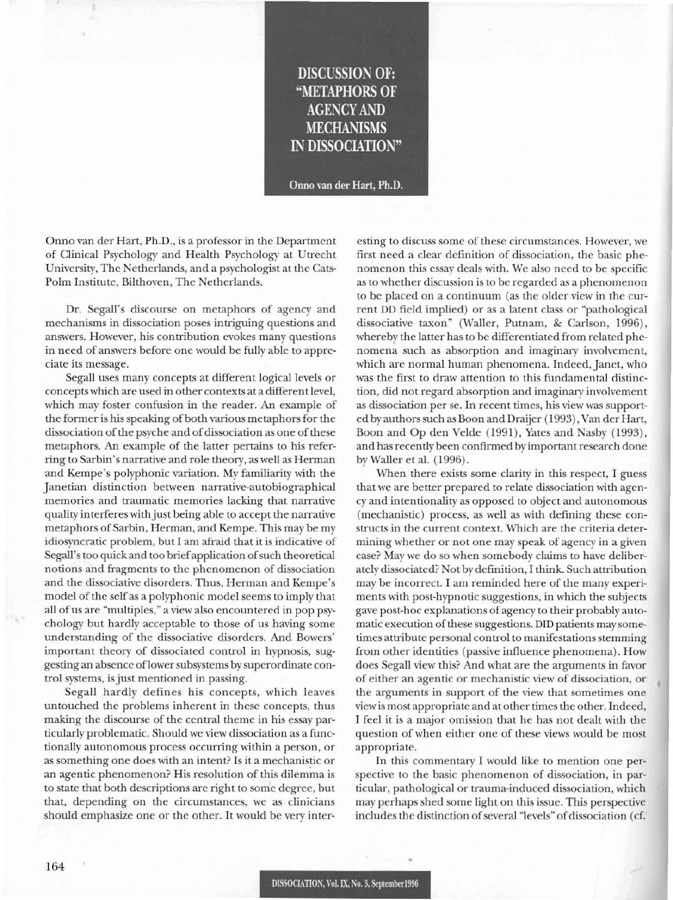**DISCUSSION OF: "METAPHORS OF** AGENCY AND **MECHANISMS IN DISSOCIATION"**

Onno van der Hart, Ph.D.

Onno van der Hart, Ph.D., is a professor in the Department of Clinical Psychology and Health Psychology at Utrecht University, The Netherlands, and a psychologist at the Cats-Polm Institute, Bilthoven, The Netherlands.

Dr. Segall's discourse on metaphors of agency and mechanisms in dissociation poses intriguing questions and answers. However, his contribution evokes many questions in need of answers before one would be fully able to appreciate its message.

Segall uses many concepts at different logical levels or concepts which are used in other contexts at a different level, which may foster confusion in the reader. An example of the former is his speaking of both various metaphors for the dissociation of the psyche and of dissociation as one of these metaphors. An example of the latter pertains to his referring to Sarbin's narrative and role theory, as well as Herman and Kempe's polyphonic variation. My familiarity with the Janetian distinction between narrative-autobiographical memories and traumatic memories lacking that narrative quality interferes with just being able to accept the narrative metaphors of Sarbin, Herman, and Kempe. This may be my idiosyncratic problem, but I am afraid that it is indicative of Segall's too quick and too brief application of such theoretical notions and fragments to the phenomenon of dissociation and the dissociative disorders. Thus, Herman and Kempe's model of the self as a polyphonic model seems to imply that all of us are "multiples," a view also encountered in pop psychology but hardly acceptable to those of us having some understanding of the dissociative disorders. And Bowers' important theory of dissociated control in hypnosis, suggesting an absence of lower subsystems by superordinate control systems, is just mentioned in passing.

Segall hardly defines his concepts, which leaves untouched the problems inherent in these concepts, thus making the discourse of the central theme in his essay particularly problematic. Should we view dissociation as a functionally autonomous process occurring within a person, or as something one does with an intent? Is it a mechanistic or an agentic phenomenon? His resolution of this dilemma is to state that both descriptions are right to some degree, but that, depending on the circumstances, we as clinicians should emphasize one or the other. It would be very interesting to discuss some of these circumstances. However, we first need a clear definition of dissociation, the basic phenomenon this essay deals with. We also need to be specific as to whether discussion is to be regarded as a phenomenon to be placed on a continuum (as the older view in the current DD field implied) or as a latent class or "pathological dissociative taxon" (Waller, Putnam, & Carlson, 1996), whereby the latter has to be differentiated from related phenomena such as absorption and imaginary involvement, which are normal human phenomena. Indeed, Janet, who was the first to draw attention to this fundamental distinction, did not regard absorption and imaginary involvement as dissociation per se. In recent times, his view was supported by authors such as Boon and Draijer (1993), Van der Hart, Boon and Op den Velde (1991), Yates and Nasby (1993), and hasrecently been confirmed by important research done by Waller et al. (1996).

When there exists some clarity in this respect, I guess that we are better prepared to relate dissociation with agency and intentionality as opposed to object and autonomous (mechanistic) process, as well as with defining these constructs in the current context. Which are the criteria determining whether or not one may speak of agency in a given case? May we do so when somebody claims to have deliberately dissociated? Not by definition, I think. Such attribution may be incorrect. I am reminded here of the many experiments with post-hypnotic suggestions, in which the subjects gave post-hoc explanations of agency to their probably automatic execution of these suggestions. DID patients may sometimes attribute personal control to manifestations stemming from other identities (passive influence phenomena). How does Segall view this? And what are the arguments in favor of either an agentic or mechanistic view of dissociation, or the arguments in support of the view that sometimes one view is most appropriate and at other times the other. Indeed, I feel it is a major omission that he has not dealt with the question of when either one of these views would be most appropriate.

In this commentary I would like to mention one perspective to the basic phenomenon of dissociation, in particular, pathological or trauma-induced dissociation, which may perhaps shed some light on this issue. This perspective includes the distinction of several "levels" of dissociation (cf.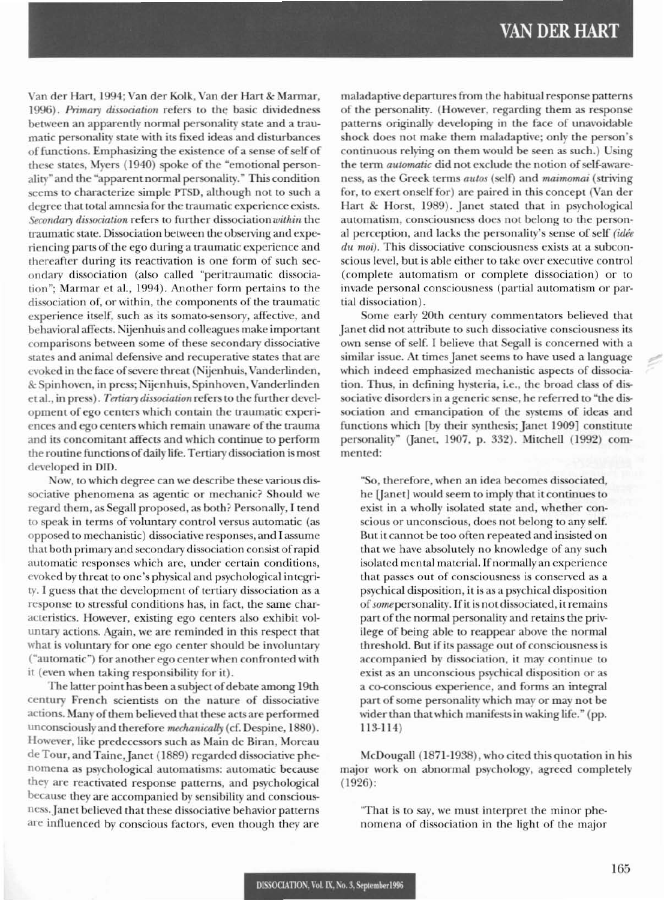Van der Hart, 1994; Van der Kolk, Van der Hart & Marmar, 1996). Primary dissociation refers to the basic dividedness between an apparently normal personality state and a traumatic personality state with its fixed ideas and disturbances of functions. Emphasizing the existence of a sense of self of these states, Myers (1940) spoke of the "emotional personality" and the "apparent normal personality." This condition seems to characterize simple PTSD, although not to such a degree that total amnesia for the traumatic experience exists. Secondary dissociation refers to further dissociation within the traumatic state. Dissociation between the observing and experiencing parts of the ego during a traumatic experience and thereafter during its reactivation is one form of such secondary dissociation (also called "peritraumatic dissociation"; Marmar et al., 1994). Another form pertains to the dissociation of, or within, the components of the traumatic experience itself, such as its somato-sensory, affective, and behavioral affects. Nijenhuis and colleagues make important comparisons between some of these secondary dissociative states and animal defensive and recuperative states that are evoked in the face of severe threat (Nijenhuis, Vanderlinden, & Spinhoven, in press; Nijenhuis, Spinhoven, Vanderlinden et al., in press). Tertiary dissociation refers to the further development of ego centers which contain the traumatic experiences and ego centers which remain unaware of the trauma and its concomitant affects and which continue to perform the routine functions of daily life. Tertiary dissociation is most developed in DID.

Now, to which degree can we describe these various dissociative phenomena as agentic or mechanic? Should we regard them, as Segall proposed, as both? Personally, I tend to speak in terms of voluntary control versus automatic (as opposed to mechanistic) dissociative responses, and I assume that both primary and secondary dissociation consist of rapid automatic responses which are, under certain conditions, evoked by threat to one's physical and psychological integrity. I guess that the development of tertiary dissociation as a response to stressful conditions has, in fact, the same characteristics. However, existing ego centers also exhibit voluntary actions. Again, we are reminded in this respect that what is voluntary for one ego center should be involuntary ("automatic") for another ego center when confronted with it (even when taking responsibility for it).

The latter point has been a subject of debate among 19th century French scientists on the nature of dissociative actions. Many of them believed that these acts are performed unconsciously and therefore mechanically (cf. Despine, 1880). However, like predecessors such as Main de Biran, Moreau de Tour, and Taine, Janet (1889) regarded dissociative phenomena as psychological automatisms: automatic because they are reactivated response patterns, and psychological because they are accompanied by sensibility and consciousness. Janet believed that these dissociative behavior patterns are influenced by conscious factors, even though they are

maladaptive departures from the habitual response patterns of the personality. (However, regarding them as response patterns originally developing in the face of unavoidable shock does not make them maladaptive; only the person's continuous relying on them would be seen as such.) Using the term *automatic* did not exclude the notion of self-awareness, as the Greek terms autos (self) and maimomai (striving for, to exert onself for) are paired in this concept (Van der Hart & Horst, 1989). Janet stated that in psychological automatism, consciousness does not belong to the personal perception, and lacks the personality's sense of self (idée  $du$  moi). This dissociative consciousness exists at a subconscious level, but is able either to take over executive control (complete automatism or complete dissociation) or to invade personal consciousness (partial automatism or partial dissociation).

Some early 20th century commentators believed that Janet did not attribute to such dissociative consciousness its own sense of self. I believe that Segall is concerned with a similar issue. At times Janet seems to have used a language which indeed emphasized mechanistic aspects of dissociation. Thus, in defining hysteria, i.e., the broad class of dissociative disorders in a generic sense, he referred to "the dissociation and emancipation of the systems of ideas and functions which [by their synthesis; Janet 1909] constitute personality" (Janet, 1907, p. 332). Mitchell (1992) commented:

"So, therefore, when an idea becomes dissociated, he [Janet] would seem to imply that it continues to exist in a wholly isolated state and, whether conscious or unconscious, does not belong to any self. But it cannot be too often repeated and insisted on that we have absolutely no knowledge of any such isolated mental material. If normally an experience that passes out of consciousness is conserved as a psychical disposition, it is as a psychical disposition of some personality. If it is not dissociated, it remains part of the normal personality and retains the privilege of being able to reappear above the normal threshold. But if its passage out of consciousness is accompanied by dissociation, it may continue to exist as an unconscious psychical disposition or as a co-conscious experience, and forms an integral part of some personality which may or may not be wider than that which manifests in waking life." (pp.  $113-114$ 

McDougall (1871-1938), who cited this quotation in his major work on abnormal psychology, agreed completely  $(1926)$ :

"That is to say, we must interpret the minor phenomena of dissociation in the light of the major